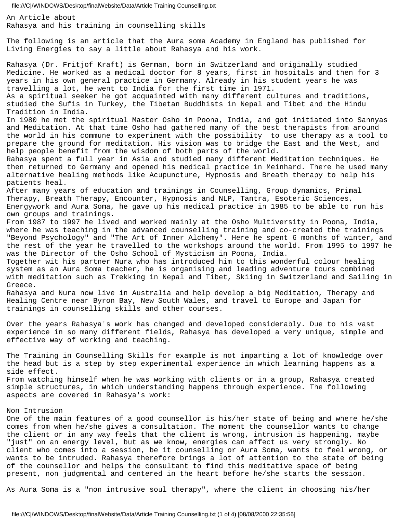An Article about Rahasya and his training in counselling skills

The following is an article that the Aura soma Academy in England has published for Living Energies to say a little about Rahasya and his work.

Rahasya (Dr. Fritjof Kraft) is German, born in Switzerland and originally studied Medicine. He worked as a medical doctor for 8 years, first in hospitals and then for 3 years in his own general practice in Germany. Already in his student years he was travelling a lot, he went to India for the first time in 1971. As a spiritual seeker he got acquainted with many different cultures and traditions, studied the Sufis in Turkey, the Tibetan Buddhists in Nepal and Tibet and the Hindu

Tradition in India.

In 1980 he met the spiritual Master Osho in Poona, India, and got initiated into Sannyas and Meditation. At that time Osho had gathered many of the best therapists from around the world in his commune to experiment with the possibility to use therapy as a tool to prepare the ground for meditation. His vision was to bridge the East and the West, and help people benefit from the wisdom of both parts of the world.

Rahasya spent a full year in Asia and studied many different Meditation techniques. He then returned to Germany and opened his medical practice in Meinhard. There he used many alternative healing methods like Acupuncture, Hypnosis and Breath therapy to help his patients heal.

After many years of education and trainings in Counselling, Group dynamics, Primal Therapy, Breath Therapy, Encounter, Hypnosis and NLP, Tantra, Esoteric Sciences, Energywork and Aura Soma, he gave up his medical practice in 1985 to be able to run his own groups and trainings.

From 1987 to 1997 he lived and worked mainly at the Osho Multiversity in Poona, India, where he was teaching in the advanced counselling training and co-created the trainings "Beyond Psychology" and "The Art of Inner Alchemy". Here he spent 6 months of winter, and the rest of the year he travelled to the workshops around the world. From 1995 to 1997 he was the Director of the Osho School of Mysticism in Poona, India.

Together wit his partner Nura who has introduced him to this wonderful colour healing system as an Aura Soma teacher, he is organising and leading adventure tours combined with meditation such as Trekking in Nepal and Tibet, Skiing in Switzerland and Sailing in Greece.

Rahasya and Nura now live in Australia and help develop a big Meditation, Therapy and Healing Centre near Byron Bay, New South Wales, and travel to Europe and Japan for trainings in counselling skills and other courses.

Over the years Rahasya's work has changed and developed considerably. Due to his vast experience in so many different fields, Rahasya has developed a very unique, simple and effective way of working and teaching.

The Training in Counselling Skills for example is not imparting a lot of knowledge over the head but is a step by step experimental experience in which learning happens as a side effect.

From watching himself when he was working with clients or in a group, Rahasya created simple structures, in which understanding happens through experience. The following aspects are covered in Rahasya's work:

### Non Intrusion

One of the main features of a good counsellor is his/her state of being and where he/she comes from when he/she gives a consultation. The moment the counsellor wants to change the client or in any way feels that the client is wrong, intrusion is happening, maybe "just" on an energy level, but as we know, energies can affect us very strongly. No client who comes into a session, be it counselling or Aura Soma, wants to feel wrong, or wants to be intruded. Rahasya therefore brings a lot of attention to the state of being of the counsellor and helps the consultant to find this meditative space of being present, non judgmental and centered in the heart before he/she starts the session.

As Aura Soma is a "non intrusive soul therapy", where the client in choosing his/her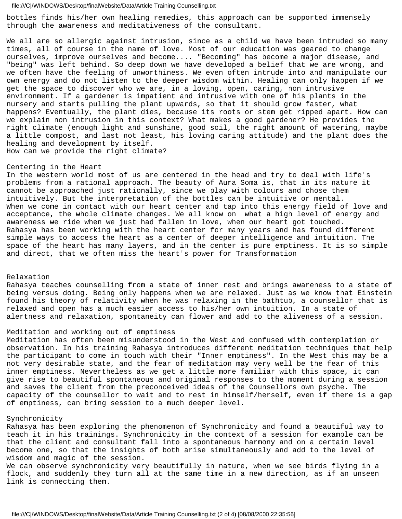bottles finds his/her own healing remedies, this approach can be supported immensely through the awareness and meditativeness of the consultant.

We all are so allergic against intrusion, since as a child we have been intruded so many times, all of course in the name of love. Most of our education was geared to change ourselves, improve ourselves and become.... "Becoming" has become a major disease, and "being" was left behind. So deep down we have developed a belief that we are wrong, and we often have the feeling of unworthiness. We even often intrude into and manipulate our own energy and do not listen to the deeper wisdom within. Healing can only happen if we get the space to discover who we are, in a loving, open, caring, non intrusive environment. If a gardener is impatient and intrusive with one of his plants in the nursery and starts pulling the plant upwards, so that it should grow faster, what happens? Eventually, the plant dies, because its roots or stem get ripped apart. How can we explain non intrusion in this context? What makes a good gardener? He provides the right climate (enough light and sunshine, good soil, the right amount of watering, maybe a little compost, and last not least, his loving caring attitude) and the plant does the healing and development by itself. How can we provide the right climate?

#### Centering in the Heart

In the western world most of us are centered in the head and try to deal with life's problems from a rational approach. The beauty of Aura Soma is, that in its nature it cannot be approached just rationally, since we play with colours and chose them intuitively. But the interpretation of the bottles can be intuitive or mental. When we come in contact with our heart center and tap into this energy field of love and acceptance, the whole climate changes. We all know on what a high level of energy and awareness we ride when we just had fallen in love, when our heart got touched. Rahasya has been working with the heart center for many years and has found different simple ways to access the heart as a center of deeper intelligence and intuition. The space of the heart has many layers, and in the center is pure emptiness. It is so simple and direct, that we often miss the heart's power for Transformation

### Relaxation

Rahasya teaches counselling from a state of inner rest and brings awareness to a state of being versus doing. Being only happens when we are relaxed. Just as we know that Einstein found his theory of relativity when he was relaxing in the bathtub, a counsellor that is relaxed and open has a much easier access to his/her own intuition. In a state of alertness and relaxation, spontaneity can flower and add to the aliveness of a session.

### Meditation and working out of emptiness

Meditation has often been misunderstood in the West and confused with contemplation or observation. In his training Rahasya introduces different meditation techniques that help the participant to come in touch with their "Inner emptiness". In the West this may be a not very desirable state, and the fear of meditation may very well be the fear of this inner emptiness. Nevertheless as we get a little more familiar with this space, it can give rise to beautiful spontaneous and original responses to the moment during a session and saves the client from the preconceived ideas of the Counsellors own psyche. The capacity of the counsellor to wait and to rest in himself/herself, even if there is a gap of emptiness, can bring session to a much deeper level.

# Synchronicity

Rahasya has been exploring the phenomenon of Synchronicity and found a beautiful way to teach it in his trainings. Synchronicity in the context of a session for example can be that the client and consultant fall into a spontaneous harmony and on a certain level become one, so that the insights of both arise simultaneously and add to the level of wisdom and magic of the session.

We can observe synchronicity very beautifully in nature, when we see birds flying in a flock, and suddenly they turn all at the same time in a new direction, as if an unseen link is connecting them.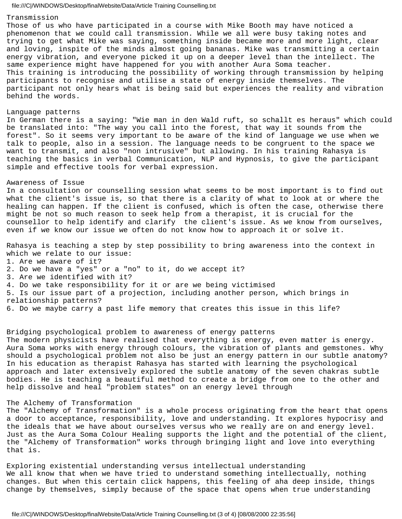# Transmission

Those of us who have participated in a course with Mike Booth may have noticed a phenomenon that we could call transmission. While we all were busy taking notes and trying to get what Mike was saying, something inside became more and more light, clear and loving, inspite of the minds almost going bananas. Mike was transmitting a certain energy vibration, and everyone picked it up on a deeper level than the intellect. The same experience might have happened for you with another Aura Soma teacher. This training is introducing the possibility of working through transmission by helping participants to recognise and utilise a state of energy inside themselves. The participant not only hears what is being said but experiences the reality and vibration behind the words.

#### Language patterns

In German there is a saying: "Wie man in den Wald ruft, so schallt es heraus" which could be translated into: "The way you call into the forest, that way it sounds from the forest". So it seems very important to be aware of the kind of language we use when we talk to people, also in a session. The language needs to be congruent to the space we want to transmit, and also "non intrusive" but allowing. In his training Rahasya is teaching the basics in verbal Communication, NLP and Hypnosis, to give the participant simple and effective tools for verbal expression.

## Awareness of Issue

In a consultation or counselling session what seems to be most important is to find out what the client's issue is, so that there is a clarity of what to look at or where the healing can happen. If the client is confused, which is often the case, otherwise there might be not so much reason to seek help from a therapist, it is crucial for the counsellor to help identify and clarify the client's issue. As we know from ourselves, even if we know our issue we often do not know how to approach it or solve it.

Rahasya is teaching a step by step possibility to bring awareness into the context in which we relate to our issue: 1. Are we aware of it?

- 2. Do we have a "yes" or a "no" to it, do we accept it?
- 3. Are we identified with it?
- 4. Do we take responsibility for it or are we being victimised
- 5. Is our issue part of a projection, including another person, which brings in
- relationship patterns?
- 6. Do we maybe carry a past life memory that creates this issue in this life?

Bridging psychological problem to awareness of energy patterns

The modern physicists have realised that everything is energy, even matter is energy. Aura Soma works with energy through colours, the vibration of plants and gemstones. Why should a psychological problem not also be just an energy pattern in our subtle anatomy? In his education as therapist Rahasya has started with learning the psychological approach and later extensively explored the subtle anatomy of the seven chakras subtle bodies. He is teaching a beautiful method to create a bridge from one to the other and help dissolve and heal "problem states" on an energy level through

# The Alchemy of Transformation

The "Alchemy of Transformation" is a whole process originating from the heart that opens a door to acceptance, responsibility, love and understanding. It explores hypocrisy and the ideals that we have about ourselves versus who we really are on and energy level. Just as the Aura Soma Colour Healing supports the light and the potential of the client, the "Alchemy of Transformation" works through bringing light and love into everything that is.

Exploring existential understanding versus intellectual understanding We all know that when we have tried to understand something intellectually, nothing changes. But when this certain click happens, this feeling of aha deep inside, things change by themselves, simply because of the space that opens when true understanding